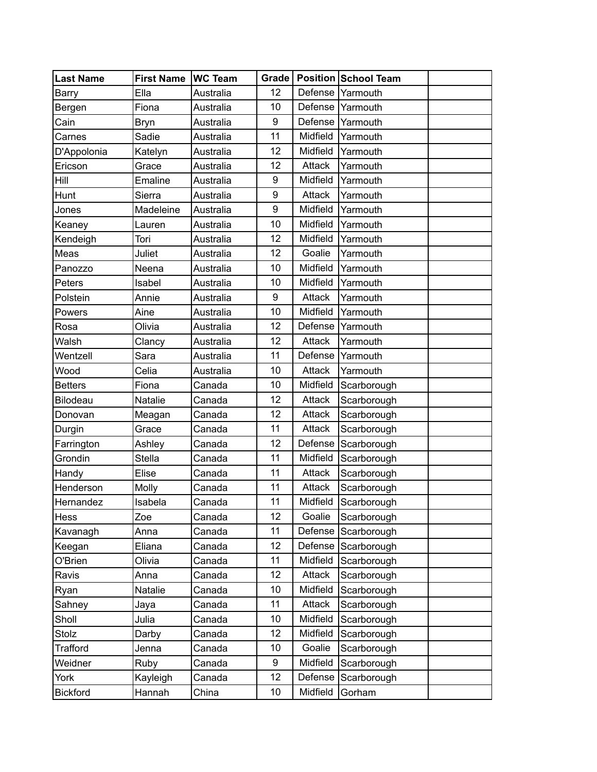| Last Name       | <b>First Name</b> | <b>WC Team</b> |    |          | Grade   Position   School Team |  |
|-----------------|-------------------|----------------|----|----------|--------------------------------|--|
| Barry           | Ella              | Australia      | 12 | Defense  | Yarmouth                       |  |
| Bergen          | Fiona             | Australia      | 10 | Defense  | Yarmouth                       |  |
| Cain            | <b>Bryn</b>       | Australia      | 9  | Defense  | Yarmouth                       |  |
| Carnes          | Sadie             | Australia      | 11 | Midfield | Yarmouth                       |  |
| D'Appolonia     | Katelyn           | Australia      | 12 | Midfield | Yarmouth                       |  |
| Ericson         | Grace             | Australia      | 12 | Attack   | Yarmouth                       |  |
| Hill            | Emaline           | Australia      | 9  | Midfield | Yarmouth                       |  |
| Hunt            | Sierra            | Australia      | 9  | Attack   | Yarmouth                       |  |
| Jones           | Madeleine         | Australia      | 9  | Midfield | Yarmouth                       |  |
| Keaney          | Lauren            | Australia      | 10 | Midfield | Yarmouth                       |  |
| Kendeigh        | Tori              | Australia      | 12 | Midfield | Yarmouth                       |  |
| Meas            | Juliet            | Australia      | 12 | Goalie   | Yarmouth                       |  |
| Panozzo         | Neena             | Australia      | 10 | Midfield | Yarmouth                       |  |
| Peters          | Isabel            | Australia      | 10 | Midfield | Yarmouth                       |  |
| Polstein        | Annie             | Australia      | 9  | Attack   | Yarmouth                       |  |
| Powers          | Aine              | Australia      | 10 | Midfield | Yarmouth                       |  |
| Rosa            | Olivia            | Australia      | 12 | Defense  | Yarmouth                       |  |
| Walsh           | Clancy            | Australia      | 12 | Attack   | Yarmouth                       |  |
| Wentzell        | Sara              | Australia      | 11 | Defense  | Yarmouth                       |  |
| Wood            | Celia             | Australia      | 10 | Attack   | Yarmouth                       |  |
| <b>Betters</b>  | Fiona             | Canada         | 10 | Midfield | Scarborough                    |  |
| Bilodeau        | Natalie           | Canada         | 12 | Attack   | Scarborough                    |  |
| Donovan         | Meagan            | Canada         | 12 | Attack   | Scarborough                    |  |
| Durgin          | Grace             | Canada         | 11 | Attack   | Scarborough                    |  |
| Farrington      | Ashley            | Canada         | 12 | Defense  | Scarborough                    |  |
| Grondin         | <b>Stella</b>     | Canada         | 11 | Midfield | Scarborough                    |  |
| Handy           | Elise             | Canada         | 11 | Attack   | Scarborough                    |  |
| Henderson       | Molly             | Canada         | 11 | Attack   | Scarborough                    |  |
| Hernandez       | Isabela           | Canada         | 11 | Midfield | Scarborough                    |  |
| Hess            | Zoe               | Canada         | 12 | Goalie   | Scarborough                    |  |
| Kavanagh        | Anna              | Canada         | 11 | Defense  | Scarborough                    |  |
| Keegan          | Eliana            | Canada         | 12 | Defense  | Scarborough                    |  |
| O'Brien         | Olivia            | Canada         | 11 | Midfield | Scarborough                    |  |
| Ravis           | Anna              | Canada         | 12 | Attack   | Scarborough                    |  |
| Ryan            | Natalie           | Canada         | 10 | Midfield | Scarborough                    |  |
| Sahney          | Jaya              | Canada         | 11 | Attack   | Scarborough                    |  |
| Sholl           | Julia             | Canada         | 10 | Midfield | Scarborough                    |  |
| Stolz           | Darby             | Canada         | 12 | Midfield | Scarborough                    |  |
| <b>Trafford</b> | Jenna             | Canada         | 10 | Goalie   | Scarborough                    |  |
| Weidner         | Ruby              | Canada         | 9  | Midfield | Scarborough                    |  |
| York            | Kayleigh          | Canada         | 12 | Defense  | Scarborough                    |  |
| <b>Bickford</b> | Hannah            | China          | 10 | Midfield | Gorham                         |  |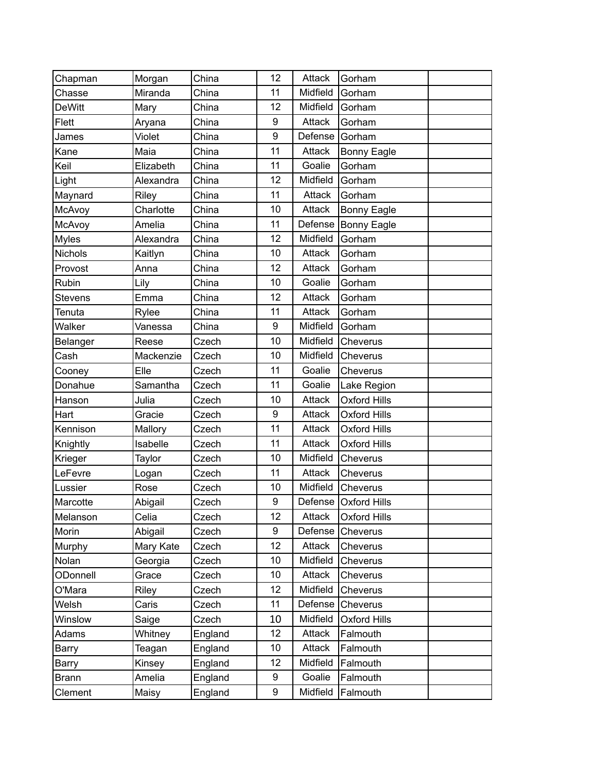| Chapman        | Morgan       | China   | 12 | Attack   | Gorham                 |  |
|----------------|--------------|---------|----|----------|------------------------|--|
| Chasse         | Miranda      | China   | 11 | Midfield | Gorham                 |  |
| <b>DeWitt</b>  | Mary         | China   | 12 | Midfield | Gorham                 |  |
| Flett          | Aryana       | China   | 9  | Attack   | Gorham                 |  |
| James          | Violet       | China   | 9  | Defense  | Gorham                 |  |
| Kane           | Maia         | China   | 11 | Attack   | <b>Bonny Eagle</b>     |  |
| Keil           | Elizabeth    | China   | 11 | Goalie   | Gorham                 |  |
| Light          | Alexandra    | China   | 12 | Midfield | Gorham                 |  |
| Maynard        | <b>Riley</b> | China   | 11 | Attack   | Gorham                 |  |
| McAvoy         | Charlotte    | China   | 10 | Attack   | <b>Bonny Eagle</b>     |  |
| McAvoy         | Amelia       | China   | 11 | Defense  | <b>Bonny Eagle</b>     |  |
| <b>Myles</b>   | Alexandra    | China   | 12 | Midfield | Gorham                 |  |
| <b>Nichols</b> | Kaitlyn      | China   | 10 | Attack   | Gorham                 |  |
| Provost        | Anna         | China   | 12 | Attack   | Gorham                 |  |
| Rubin          | Lily         | China   | 10 | Goalie   | Gorham                 |  |
| <b>Stevens</b> | Emma         | China   | 12 | Attack   | Gorham                 |  |
| Tenuta         | Rylee        | China   | 11 | Attack   | Gorham                 |  |
| Walker         | Vanessa      | China   | 9  | Midfield | Gorham                 |  |
| Belanger       | Reese        | Czech   | 10 | Midfield | Cheverus               |  |
| Cash           | Mackenzie    | Czech   | 10 | Midfield | Cheverus               |  |
| Cooney         | Elle         | Czech   | 11 | Goalie   | Cheverus               |  |
| Donahue        | Samantha     | Czech   | 11 | Goalie   | Lake Region            |  |
| Hanson         | Julia        | Czech   | 10 | Attack   | <b>Oxford Hills</b>    |  |
| Hart           | Gracie       | Czech   | 9  | Attack   | <b>Oxford Hills</b>    |  |
| Kennison       | Mallory      | Czech   | 11 | Attack   | <b>Oxford Hills</b>    |  |
| Knightly       | Isabelle     | Czech   | 11 | Attack   | <b>Oxford Hills</b>    |  |
| Krieger        | Taylor       | Czech   | 10 | Midfield | Cheverus               |  |
| LeFevre        | Logan        | Czech   | 11 | Attack   | Cheverus               |  |
| Lussier        | Rose         | Czech   | 10 | Midfield | Cheverus               |  |
| Marcotte       | Abigail      | Czech   | 9  |          | Defense   Oxford Hills |  |
| Melanson       | Celia        | Czech   | 12 | Attack   | <b>Oxford Hills</b>    |  |
| Morin          | Abigail      | Czech   | 9  | Defense  | Cheverus               |  |
| Murphy         | Mary Kate    | Czech   | 12 | Attack   | Cheverus               |  |
| Nolan          | Georgia      | Czech   | 10 | Midfield | Cheverus               |  |
| ODonnell       | Grace        | Czech   | 10 | Attack   | Cheverus               |  |
| O'Mara         | Riley        | Czech   | 12 | Midfield | Cheverus               |  |
| Welsh          | Caris        | Czech   | 11 | Defense  | Cheverus               |  |
| Winslow        | Saige        | Czech   | 10 | Midfield | <b>Oxford Hills</b>    |  |
| Adams          | Whitney      | England | 12 | Attack   | Falmouth               |  |
| Barry          | Teagan       | England | 10 | Attack   | Falmouth               |  |
| Barry          | Kinsey       | England | 12 | Midfield | Falmouth               |  |
| <b>Brann</b>   | Amelia       | England | 9  | Goalie   | Falmouth               |  |
| Clement        | Maisy        | England | 9  | Midfield | Falmouth               |  |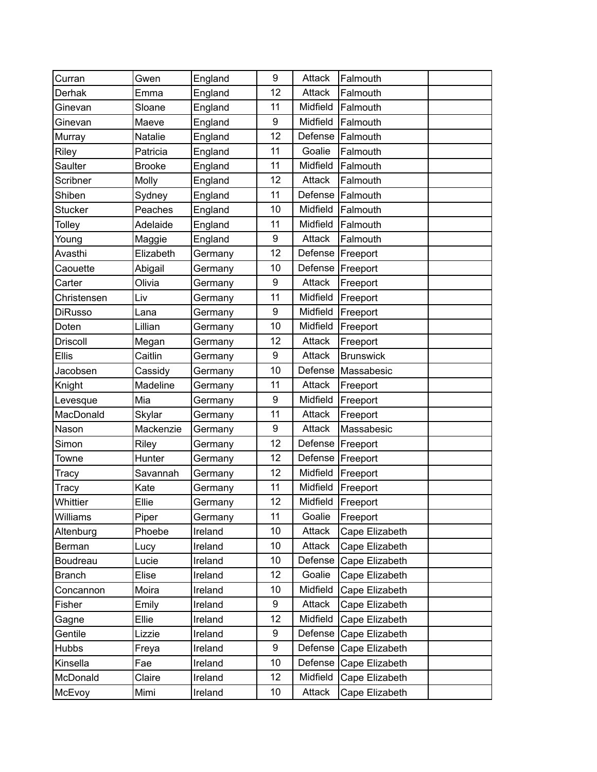| Curran          | Gwen          | England | 9  | Attack   | Falmouth         |  |
|-----------------|---------------|---------|----|----------|------------------|--|
| Derhak          | Emma          | England | 12 | Attack   | Falmouth         |  |
| Ginevan         | Sloane        | England | 11 | Midfield | Falmouth         |  |
| Ginevan         | Maeve         | England | 9  | Midfield | Falmouth         |  |
| Murray          | Natalie       | England | 12 | Defense  | Falmouth         |  |
| Riley           | Patricia      | England | 11 | Goalie   | Falmouth         |  |
| Saulter         | <b>Brooke</b> | England | 11 | Midfield | Falmouth         |  |
| Scribner        | Molly         | England | 12 | Attack   | Falmouth         |  |
| Shiben          | Sydney        | England | 11 | Defense  | Falmouth         |  |
| <b>Stucker</b>  | Peaches       | England | 10 | Midfield | Falmouth         |  |
| <b>Tolley</b>   | Adelaide      | England | 11 | Midfield | Falmouth         |  |
| Young           | Maggie        | England | 9  | Attack   | Falmouth         |  |
| Avasthi         | Elizabeth     | Germany | 12 | Defense  | Freeport         |  |
| Caouette        | Abigail       | Germany | 10 | Defense  | Freeport         |  |
| Carter          | Olivia        | Germany | 9  | Attack   | Freeport         |  |
| Christensen     | Liv           | Germany | 11 | Midfield | Freeport         |  |
| <b>DiRusso</b>  | Lana          | Germany | 9  | Midfield | Freeport         |  |
| Doten           | Lillian       | Germany | 10 | Midfield | Freeport         |  |
| <b>Driscoll</b> | Megan         | Germany | 12 | Attack   | Freeport         |  |
| <b>Ellis</b>    | Caitlin       | Germany | 9  | Attack   | <b>Brunswick</b> |  |
| Jacobsen        | Cassidy       | Germany | 10 | Defense  | Massabesic       |  |
| Knight          | Madeline      | Germany | 11 | Attack   | Freeport         |  |
| Levesque        | Mia           | Germany | 9  | Midfield | Freeport         |  |
| MacDonald       | Skylar        | Germany | 11 | Attack   | Freeport         |  |
| Nason           | Mackenzie     | Germany | 9  | Attack   | Massabesic       |  |
| Simon           | Riley         | Germany | 12 | Defense  | Freeport         |  |
| Towne           | Hunter        | Germany | 12 | Defense  | Freeport         |  |
| Tracy           | Savannah      | Germany | 12 | Midfield | Freeport         |  |
| Tracy           | Kate          | Germany | 11 | Midfield | Freeport         |  |
| Whittier        | Ellie         | Germany | 12 | Midfield | Freeport         |  |
| Williams        | Piper         | Germany | 11 | Goalie   | Freeport         |  |
| Altenburg       | Phoebe        | Ireland | 10 | Attack   | Cape Elizabeth   |  |
| Berman          | Lucy          | Ireland | 10 | Attack   | Cape Elizabeth   |  |
| Boudreau        | Lucie         | Ireland | 10 | Defense  | Cape Elizabeth   |  |
| <b>Branch</b>   | Elise         | Ireland | 12 | Goalie   | Cape Elizabeth   |  |
| Concannon       | Moira         | Ireland | 10 | Midfield | Cape Elizabeth   |  |
| Fisher          | Emily         | Ireland | 9  | Attack   | Cape Elizabeth   |  |
| Gagne           | Ellie         | Ireland | 12 | Midfield | Cape Elizabeth   |  |
| Gentile         | Lizzie        | Ireland | 9  | Defense  | Cape Elizabeth   |  |
| <b>Hubbs</b>    | Freya         | Ireland | 9  | Defense  | Cape Elizabeth   |  |
| Kinsella        | Fae           | Ireland | 10 | Defense  | Cape Elizabeth   |  |
| McDonald        | Claire        | Ireland | 12 | Midfield | Cape Elizabeth   |  |
| McEvoy          | Mimi          | Ireland | 10 | Attack   | Cape Elizabeth   |  |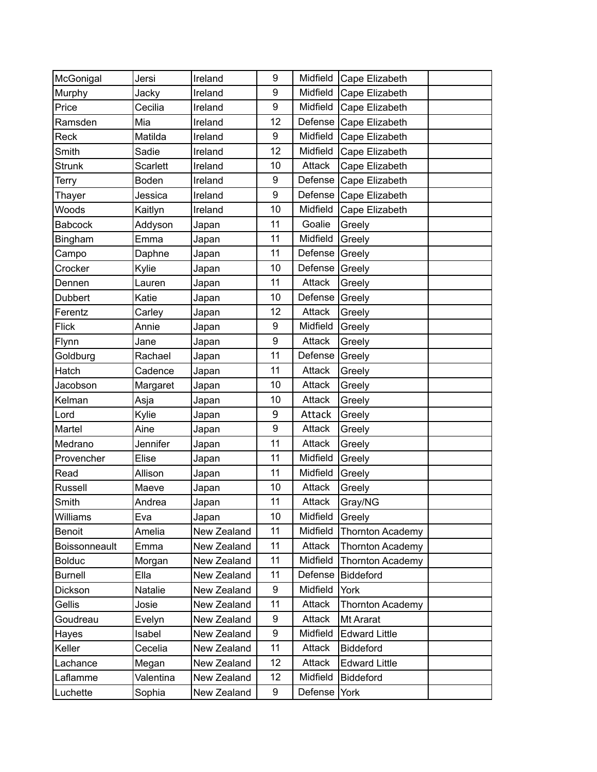| McGonigal      | Jersi           | Ireland     | 9  | Midfield | Cape Elizabeth          |  |
|----------------|-----------------|-------------|----|----------|-------------------------|--|
| Murphy         | Jacky           | Ireland     | 9  | Midfield | Cape Elizabeth          |  |
| Price          | Cecilia         | Ireland     | 9  | Midfield | Cape Elizabeth          |  |
| Ramsden        | Mia             | Ireland     | 12 | Defense  | Cape Elizabeth          |  |
| Reck           | Matilda         | Ireland     | 9  | Midfield | Cape Elizabeth          |  |
| Smith          | Sadie           | Ireland     | 12 | Midfield | Cape Elizabeth          |  |
| <b>Strunk</b>  | <b>Scarlett</b> | Ireland     | 10 | Attack   | Cape Elizabeth          |  |
| Terry          | Boden           | Ireland     | 9  | Defense  | Cape Elizabeth          |  |
| Thayer         | Jessica         | Ireland     | 9  | Defense  | Cape Elizabeth          |  |
| Woods          | Kaitlyn         | Ireland     | 10 | Midfield | Cape Elizabeth          |  |
| <b>Babcock</b> | Addyson         | Japan       | 11 | Goalie   | Greely                  |  |
| Bingham        | Emma            | Japan       | 11 | Midfield | Greely                  |  |
| Campo          | Daphne          | Japan       | 11 | Defense  | Greely                  |  |
| Crocker        | Kylie           | Japan       | 10 | Defense  | Greely                  |  |
| Dennen         | Lauren          | Japan       | 11 | Attack   | Greely                  |  |
| <b>Dubbert</b> | Katie           | Japan       | 10 | Defense  | Greely                  |  |
| Ferentz        | Carley          | Japan       | 12 | Attack   | Greely                  |  |
| <b>Flick</b>   | Annie           | Japan       | 9  | Midfield | Greely                  |  |
| Flynn          | Jane            | Japan       | 9  | Attack   | Greely                  |  |
| Goldburg       | Rachael         | Japan       | 11 | Defense  | Greely                  |  |
| Hatch          | Cadence         | Japan       | 11 | Attack   | Greely                  |  |
| Jacobson       | Margaret        | Japan       | 10 | Attack   | Greely                  |  |
| Kelman         | Asja            | Japan       | 10 | Attack   | Greely                  |  |
| Lord           | Kylie           | Japan       | 9  | Attack   | Greely                  |  |
| Martel         | Aine            | Japan       | 9  | Attack   | Greely                  |  |
| Medrano        | Jennifer        | Japan       | 11 | Attack   | Greely                  |  |
| Provencher     | Elise           | Japan       | 11 | Midfield | Greely                  |  |
| Read           | Allison         | Japan       | 11 | Midfield | Greely                  |  |
| Russell        | Maeve           | Japan       | 10 | Attack   | Greely                  |  |
| Smith          | Andrea          | Japan       | 11 | Attack   | Gray/NG                 |  |
| Williams       | Eva             | Japan       | 10 | Midfield | Greely                  |  |
| <b>Benoit</b>  | Amelia          | New Zealand | 11 | Midfield | <b>Thornton Academy</b> |  |
| Boissonneault  | Emma            | New Zealand | 11 | Attack   | Thornton Academy        |  |
| <b>Bolduc</b>  | Morgan          | New Zealand | 11 | Midfield | <b>Thornton Academy</b> |  |
| <b>Burnell</b> | Ella            | New Zealand | 11 | Defense  | <b>Biddeford</b>        |  |
| Dickson        | Natalie         | New Zealand | 9  | Midfield | York                    |  |
| Gellis         | Josie           | New Zealand | 11 | Attack   | <b>Thornton Academy</b> |  |
| Goudreau       | Evelyn          | New Zealand | 9  | Attack   | Mt Ararat               |  |
| Hayes          | Isabel          | New Zealand | 9  | Midfield | <b>Edward Little</b>    |  |
| Keller         | Cecelia         | New Zealand | 11 | Attack   | <b>Biddeford</b>        |  |
| Lachance       | Megan           | New Zealand | 12 | Attack   | <b>Edward Little</b>    |  |
| Laflamme       | Valentina       | New Zealand | 12 | Midfield | <b>Biddeford</b>        |  |
| Luchette       | Sophia          | New Zealand | 9  | Defense  | York                    |  |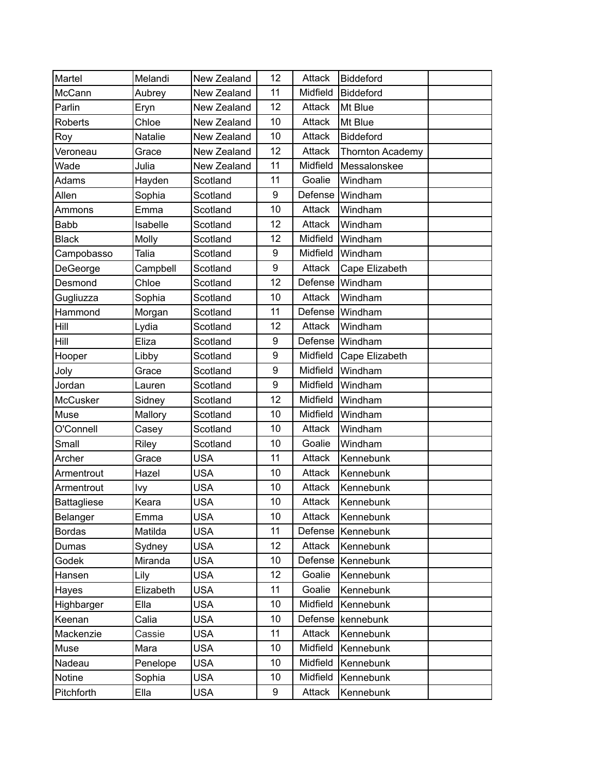| Martel             | Melandi   | New Zealand | 12 | Attack   | <b>Biddeford</b> |  |
|--------------------|-----------|-------------|----|----------|------------------|--|
| McCann             | Aubrey    | New Zealand | 11 | Midfield | <b>Biddeford</b> |  |
| Parlin             | Eryn      | New Zealand | 12 | Attack   | Mt Blue          |  |
| <b>Roberts</b>     | Chloe     | New Zealand | 10 | Attack   | Mt Blue          |  |
| Roy                | Natalie   | New Zealand | 10 | Attack   | <b>Biddeford</b> |  |
| Veroneau           | Grace     | New Zealand | 12 | Attack   | Thornton Academy |  |
| Wade               | Julia     | New Zealand | 11 | Midfield | Messalonskee     |  |
| Adams              | Hayden    | Scotland    | 11 | Goalie   | Windham          |  |
| Allen              | Sophia    | Scotland    | 9  | Defense  | Windham          |  |
| Ammons             | Emma      | Scotland    | 10 | Attack   | Windham          |  |
| Babb               | Isabelle  | Scotland    | 12 | Attack   | Windham          |  |
| <b>Black</b>       | Molly     | Scotland    | 12 | Midfield | Windham          |  |
| Campobasso         | Talia     | Scotland    | 9  | Midfield | Windham          |  |
| DeGeorge           | Campbell  | Scotland    | 9  | Attack   | Cape Elizabeth   |  |
| Desmond            | Chloe     | Scotland    | 12 | Defense  | Windham          |  |
| Gugliuzza          | Sophia    | Scotland    | 10 | Attack   | Windham          |  |
| Hammond            | Morgan    | Scotland    | 11 | Defense  | Windham          |  |
| Hill               | Lydia     | Scotland    | 12 | Attack   | Windham          |  |
| Hill               | Eliza     | Scotland    | 9  | Defense  | Windham          |  |
| Hooper             | Libby     | Scotland    | 9  | Midfield | Cape Elizabeth   |  |
| Joly               | Grace     | Scotland    | 9  | Midfield | Windham          |  |
| Jordan             | Lauren    | Scotland    | 9  | Midfield | Windham          |  |
| <b>McCusker</b>    | Sidney    | Scotland    | 12 | Midfield | Windham          |  |
| Muse               | Mallory   | Scotland    | 10 | Midfield | Windham          |  |
| O'Connell          | Casey     | Scotland    | 10 | Attack   | Windham          |  |
| Small              | Riley     | Scotland    | 10 | Goalie   | Windham          |  |
| Archer             | Grace     | <b>USA</b>  | 11 | Attack   | Kennebunk        |  |
| Armentrout         | Hazel     | <b>USA</b>  | 10 | Attack   | Kennebunk        |  |
| Armentrout         | Ivy       | <b>USA</b>  | 10 | Attack   | Kennebunk        |  |
| <b>Battagliese</b> | Keara     | <b>USA</b>  | 10 | Attack   | Kennebunk        |  |
| Belanger           | Emma      | <b>USA</b>  | 10 | Attack   | Kennebunk        |  |
| <b>Bordas</b>      | Matilda   | <b>USA</b>  | 11 | Defense  | Kennebunk        |  |
| Dumas              | Sydney    | <b>USA</b>  | 12 | Attack   | Kennebunk        |  |
| Godek              | Miranda   | <b>USA</b>  | 10 | Defense  | Kennebunk        |  |
| Hansen             | Lily      | <b>USA</b>  | 12 | Goalie   | Kennebunk        |  |
| Hayes              | Elizabeth | <b>USA</b>  | 11 | Goalie   | Kennebunk        |  |
| Highbarger         | Ella      | <b>USA</b>  | 10 | Midfield | Kennebunk        |  |
| Keenan             | Calia     | <b>USA</b>  | 10 | Defense  | kennebunk        |  |
| Mackenzie          | Cassie    | <b>USA</b>  | 11 | Attack   | Kennebunk        |  |
| Muse               | Mara      | <b>USA</b>  | 10 | Midfield | Kennebunk        |  |
| Nadeau             | Penelope  | <b>USA</b>  | 10 | Midfield | Kennebunk        |  |
| Notine             | Sophia    | <b>USA</b>  | 10 | Midfield | Kennebunk        |  |
| Pitchforth         | Ella      | <b>USA</b>  | 9  | Attack   | Kennebunk        |  |